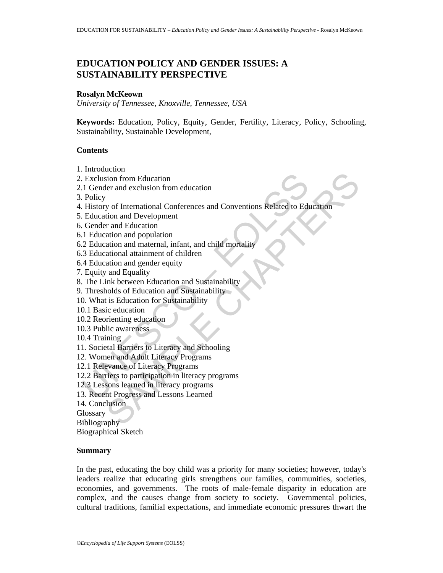# **EDUCATION POLICY AND GENDER ISSUES: A SUSTAINABILITY PERSPECTIVE**

#### **Rosalyn McKeown**

*University of Tennessee, Knoxville, Tennessee, USA* 

**Keywords:** Education, Policy, Equity, Gender, Fertility, Literacy, Policy, Schooling, Sustainability, Sustainable Development,

# **Contents**

- 1. Introduction
- 2. Exclusion from Education
- 2.1 Gender and exclusion from education
- 3. Policy
- Exclusion from Education<br>
1 Gender and exclusion from education<br>
1 Gender and exclusion from education<br>
Policy<br>
Education and Development<br>
Cender and Education<br>
1 Education and population<br>
1 Education and maternal, infant, Example The Medicinal Conferences and Conventions Related to Education<br>tion from Education from education<br>triangle and Education<br>and Development<br>and an dipopulation<br>ation and propulation<br>ation and maternal, infant, and chi 4. History of International Conferences and Conventions Related to Education
- 5. Education and Development
- 6. Gender and Education
- 6.1 Education and population
- 6.2 Education and maternal, infant, and child mortality
- 6.3 Educational attainment of children
- 6.4 Education and gender equity
- 7. Equity and Equality
- 8. The Link between Education and Sustainability
- 9. Thresholds of Education and Sustainability
- 10. What is Education for Sustainability
- 10.1 Basic education
- 10.2 Reorienting education
- 10.3 Public awareness
- 10.4 Training
- 11. Societal Barriers to Literacy and Schooling
- 12. Women and Adult Literacy Programs
- 12.1 Relevance of Literacy Programs
- 12.2 Barriers to participation in literacy programs
- 12.3 Lessons learned in literacy programs
- 13. Recent Progress and Lessons Learned
- 14. Conclusion
- Glossary

Bibliography

Biographical Sketch

#### **Summary**

In the past, educating the boy child was a priority for many societies; however, today's leaders realize that educating girls strengthens our families, communities, societies, economies, and governments. The roots of male-female disparity in education are complex, and the causes change from society to society. Governmental policies, cultural traditions, familial expectations, and immediate economic pressures thwart the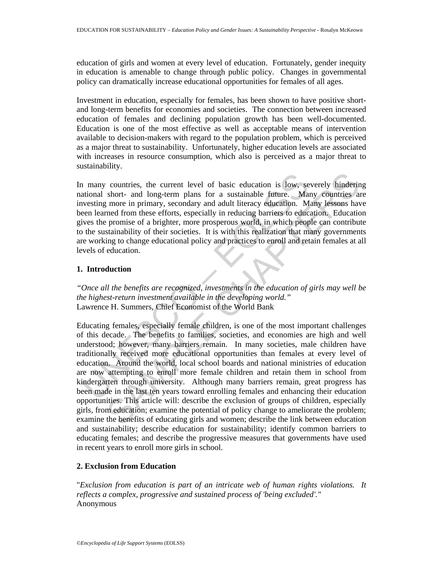education of girls and women at every level of education. Fortunately, gender inequity in education is amenable to change through public policy. Changes in governmental policy can dramatically increase educational opportunities for females of all ages.

Investment in education, especially for females, has been shown to have positive shortand long-term benefits for economies and societies. The connection between increased education of females and declining population growth has been well-documented. Education is one of the most effective as well as acceptable means of intervention available to decision-makers with regard to the population problem, which is perceived as a major threat to sustainability. Unfortunately, higher education levels are associated with increases in resource consumption, which also is perceived as a major threat to sustainability.

In many countries, the current level of basic education is low, severely hindering national short- and long-term plans for a sustainable future. Many countries are investing more in primary, secondary and adult literacy education. Many lessons have been learned from these efforts, especially in reducing barriers to education. Education gives the promise of a brighter, more prosperous world, in which people can contribute to the sustainability of their societies. It is with this realization that many governments are working to change educational policy and practices to enroll and retain females at all levels of education.

# **1. Introduction**

*"Once all the benefits are recognized, investments in the education of girls may well be the highest-return investment available in the developing world."*  Lawrence H. Summers, Chief Economist of the World Bank

I many countries, the current level of basic education is low, securional short- and long-term plans for a sustainable future. Mateusting more in primary, secondary and adult literacy education. Mevesting more in primary, countries, the current level of basic education is low, severly hinderin<br>short- and long-term plans for a sustainable future. Many countries as<br>more in primary, secondary and adult literacy education. Many lessons have<br>med Educating females, especially female children, is one of the most important challenges of this decade. The benefits to families, societies, and economies are high and well understood; however, many barriers remain. In many societies, male children have traditionally received more educational opportunities than females at every level of education. Around the world, local school boards and national ministries of education are now attempting to enroll more female children and retain them in school from kindergarten through university. Although many barriers remain, great progress has been made in the last ten years toward enrolling females and enhancing their education opportunities. This article will: describe the exclusion of groups of children, especially girls, from education; examine the potential of policy change to ameliorate the problem; examine the benefits of educating girls and women; describe the link between education and sustainability; describe education for sustainability; identify common barriers to educating females; and describe the progressive measures that governments have used in recent years to enroll more girls in school.

# **2. Exclusion from Education**

"*Exclusion from education is part of an intricate web of human rights violations. It reflects a complex, progressive and sustained process of 'being excluded'."*  Anonymous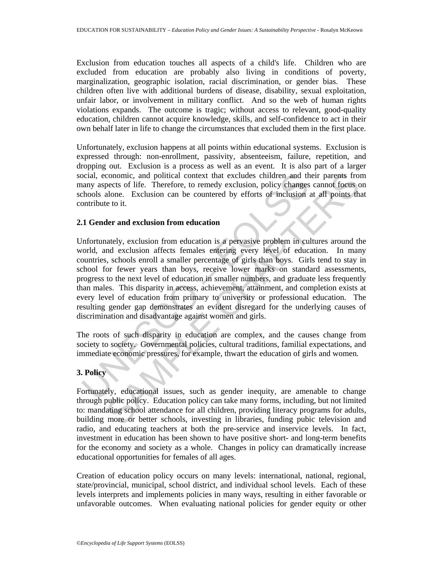Exclusion from education touches all aspects of a child's life. Children who are excluded from education are probably also living in conditions of poverty, marginalization, geographic isolation, racial discrimination, or gender bias. These children often live with additional burdens of disease, disability, sexual exploitation, unfair labor, or involvement in military conflict. And so the web of human rights violations expands. The outcome is tragic; without access to relevant, good-quality education, children cannot acquire knowledge, skills, and self-confidence to act in their own behalf later in life to change the circumstances that excluded them in the first place.

Unfortunately, exclusion happens at all points within educational systems. Exclusion is expressed through: non-enrollment, passivity, absenteeism, failure, repetition, and dropping out. Exclusion is a process as well as an event. It is also part of a larger social, economic, and political context that excludes children and their parents from many aspects of life. Therefore, to remedy exclusion, policy changes cannot focus on schools alone. Exclusion can be countered by efforts of inclusion at all points that contribute to it.

#### **2.1 Gender and exclusion from education**

orial, economic, and political context that excludes children and the analy aspects of life. Therefore, to remedy exclusion, policy changes chools alone. Exclusion can be countered by efforts of inclusion ontribute to it.<br> conomic, and political context that excludes children and their parents from<br>conomic, and political context that exclusion, policy changes cannot focus of<br>alone. Exclusion can be countered by efforts of inclusion at all po Unfortunately, exclusion from education is a pervasive problem in cultures around the world, and exclusion affects females entering every level of education. In many countries, schools enroll a smaller percentage of girls than boys. Girls tend to stay in school for fewer years than boys, receive lower marks on standard assessments, progress to the next level of education in smaller numbers, and graduate less frequently than males. This disparity in access, achievement, attainment, and completion exists at every level of education from primary to university or professional education. The resulting gender gap demonstrates an evident disregard for the underlying causes of discrimination and disadvantage against women and girls.

The roots of such disparity in education are complex, and the causes change from society to society. Governmental policies, cultural traditions, familial expectations, and immediate economic pressures, for example, thwart the education of girls and women.

# **3. Policy**

Fortunately, educational issues, such as gender inequity, are amenable to change through public policy. Education policy can take many forms, including, but not limited to: mandating school attendance for all children, providing literacy programs for adults, building more or better schools, investing in libraries, funding pubic television and radio, and educating teachers at both the pre-service and inservice levels. In fact, investment in education has been shown to have positive short- and long-term benefits for the economy and society as a whole. Changes in policy can dramatically increase educational opportunities for females of all ages.

Creation of education policy occurs on many levels: international, national, regional, state/provincial, municipal, school district, and individual school levels. Each of these levels interprets and implements policies in many ways, resulting in either favorable or unfavorable outcomes. When evaluating national policies for gender equity or other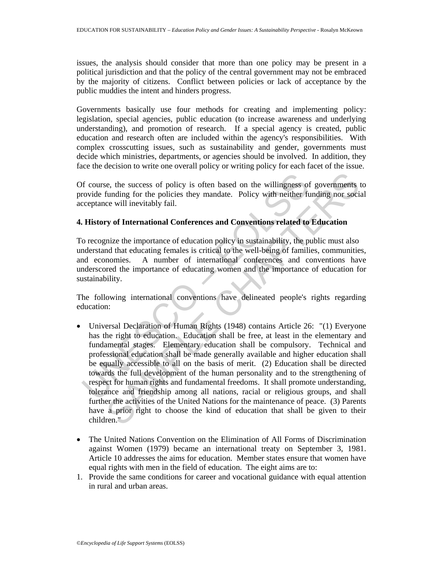issues, the analysis should consider that more than one policy may be present in a political jurisdiction and that the policy of the central government may not be embraced by the majority of citizens. Conflict between policies or lack of acceptance by the public muddies the intent and hinders progress.

Governments basically use four methods for creating and implementing policy: legislation, special agencies, public education (to increase awareness and underlying understanding), and promotion of research. If a special agency is created, public education and research often are included within the agency's responsibilities. With complex crosscutting issues, such as sustainability and gender, governments must decide which ministries, departments, or agencies should be involved. In addition, they face the decision to write one overall policy or writing policy for each facet of the issue.

Of course, the success of policy is often based on the willingness of governments to provide funding for the policies they mandate. Policy with neither funding nor social acceptance will inevitably fail.

# **4. History of International Conferences and Conventions related to Education**

To recognize the importance of education policy in sustainability, the public must also understand that educating females is critical to the well-being of families, communities, and economies. A number of international conferences and conventions have underscored the importance of educating women and the importance of education for sustainability.

The following international conventions have delineated people's rights regarding education:

- or f course, the success of policy is often based on the willingness of covide funding for the policies they mandate. Policy with neither ficceptance will inevitably fail.<br> **I. History of International Conferences and Co** ic, the success of policy is often based on the willingness of governments<br>funding for the policies they mandate. Policy with neither funding nor social<br>ce will inevitably fail.<br>The proferences and Conventions related to E • Universal Declaration of Human Rights (1948) contains Article 26: "(1) Everyone has the right to education. Education shall be free, at least in the elementary and fundamental stages. Elementary education shall be compulsory. Technical and professional education shall be made generally available and higher education shall be equally accessible to all on the basis of merit. (2) Education shall be directed towards the full development of the human personality and to the strengthening of respect for human rights and fundamental freedoms. It shall promote understanding, tolerance and friendship among all nations, racial or religious groups, and shall further the activities of the United Nations for the maintenance of peace. (3) Parents have a prior right to choose the kind of education that shall be given to their children."
- The United Nations Convention on the Elimination of All Forms of Discrimination against Women (1979) became an international treaty on September 3, 1981. Article 10 addresses the aims for education. Member states ensure that women have equal rights with men in the field of education. The eight aims are to:
- 1. Provide the same conditions for career and vocational guidance with equal attention in rural and urban areas.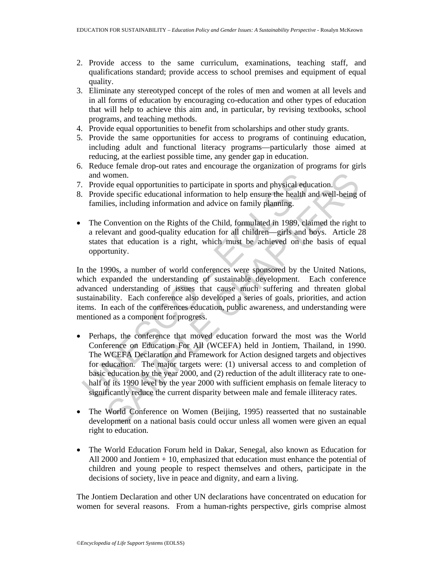- 2. Provide access to the same curriculum, examinations, teaching staff, and qualifications standard; provide access to school premises and equipment of equal quality.
- 3. Eliminate any stereotyped concept of the roles of men and women at all levels and in all forms of education by encouraging co-education and other types of education that will help to achieve this aim and, in particular, by revising textbooks, school programs, and teaching methods.
- 4. Provide equal opportunities to benefit from scholarships and other study grants.
- 5. Provide the same opportunities for access to programs of continuing education, including adult and functional literacy programs—particularly those aimed at reducing, at the earliest possible time, any gender gap in education.
- 6. Reduce female drop-out rates and encourage the organization of programs for girls and women.
- 7. Provide equal opportunities to participate in sports and physical education.
- 8. Provide specific educational information to help ensure the health and well-being of families, including information and advice on family planning.
- The Convention on the Rights of the Child, formulated in 1989, claimed the right to a relevant and good-quality education for all children—girls and boys. Article 28 states that education is a right, which must be achieved on the basis of equal opportunity.

In the 1990s, a number of world conferences were sponsored by the United Nations, which expanded the understanding of sustainable development. Each conference advanced understanding of issues that cause much suffering and threaten global sustainability. Each conference also developed a series of goals, priorities, and action items. In each of the conferences education, public awareness, and understanding were mentioned as a component for progress.

- and women.<br>
Provide equal opportunities to participate in sports and physical edu<br>
Provide specific educational information to help ensure the health a<br>
families, including information and advice on family planning.<br>
The C ide equal opportunities to participate in sports and physical education.<br>
ide equal opportunities to participate in sports and physical education.<br>
ide specific educational information to help ensure the health and well-be • Perhaps, the conference that moved education forward the most was the World Conference on Education For All (WCEFA) held in Jontiem, Thailand, in 1990. The WCEFA Declaration and Framework for Action designed targets and objectives for education. The major targets were: (1) universal access to and completion of basic education by the year 2000, and (2) reduction of the adult illiteracy rate to onehalf of its 1990 level by the year 2000 with sufficient emphasis on female literacy to significantly reduce the current disparity between male and female illiteracy rates.
- The World Conference on Women (Beijing, 1995) reasserted that no sustainable development on a national basis could occur unless all women were given an equal right to education.
- The World Education Forum held in Dakar, Senegal, also known as Education for All 2000 and Jontiem + 10, emphasized that education must enhance the potential of children and young people to respect themselves and others, participate in the decisions of society, live in peace and dignity, and earn a living.

The Jontiem Declaration and other UN declarations have concentrated on education for women for several reasons. From a human-rights perspective, girls comprise almost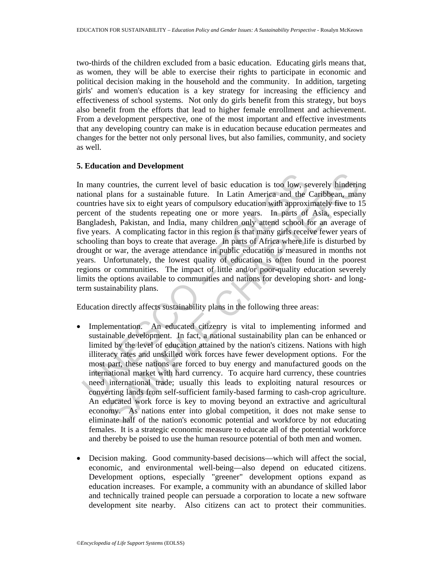two-thirds of the children excluded from a basic education. Educating girls means that, as women, they will be able to exercise their rights to participate in economic and political decision making in the household and the community. In addition, targeting girls' and women's education is a key strategy for increasing the efficiency and effectiveness of school systems. Not only do girls benefit from this strategy, but boys also benefit from the efforts that lead to higher female enrollment and achievement. From a development perspective, one of the most important and effective investments that any developing country can make is in education because education permeates and changes for the better not only personal lives, but also families, community, and society as well.

#### **5. Education and Development**

I many countries, the current level of basic education is too low, secured plans for a sustainable future. In Latin America and the duntries have six to eight years of compulsory education with approxiencement of the stude countries, the current level of basic education is too low, severely hinderiplans for a sustainable future. In Latin America and the Caribbean, man have six to eight years of compulsory education with approximately five to In many countries, the current level of basic education is too low, severely hindering national plans for a sustainable future. In Latin America and the Caribbean, many countries have six to eight years of compulsory education with approximately five to 15 percent of the students repeating one or more years. In parts of Asia, especially Bangladesh, Pakistan, and India, many children only attend school for an average of five years. A complicating factor in this region is that many girls receive fewer years of schooling than boys to create that average. In parts of Africa where life is disturbed by drought or war, the average attendance in public education is measured in months not years. Unfortunately, the lowest quality of education is often found in the poorest regions or communities. The impact of little and/or poor-quality education severely limits the options available to communities and nations for developing short- and longterm sustainability plans.

Education directly affects sustainability plans in the following three areas:

- Implementation. An educated citizenry is vital to implementing informed and sustainable development. In fact, a national sustainability plan can be enhanced or limited by the level of education attained by the nation's citizens. Nations with high illiteracy rates and unskilled work forces have fewer development options. For the most part, these nations are forced to buy energy and manufactured goods on the international market with hard currency. To acquire hard currency, these countries need international trade; usually this leads to exploiting natural resources or converting lands from self-sufficient family-based farming to cash-crop agriculture. An educated work force is key to moving beyond an extractive and agricultural economy. As nations enter into global competition, it does not make sense to eliminate half of the nation's economic potential and workforce by not educating females. It is a strategic economic measure to educate all of the potential workforce and thereby be poised to use the human resource potential of both men and women.
- Decision making. Good community-based decisions—which will affect the social, economic, and environmental well-being—also depend on educated citizens. Development options, especially "greener" development options expand as education increases. For example, a community with an abundance of skilled labor and technically trained people can persuade a corporation to locate a new software development site nearby. Also citizens can act to protect their communities.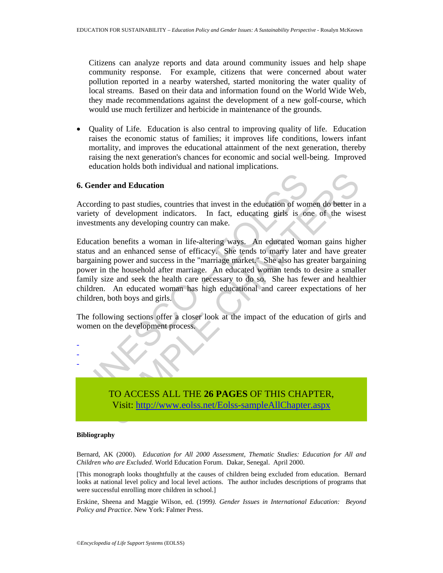Citizens can analyze reports and data around community issues and help shape community response. For example, citizens that were concerned about water pollution reported in a nearby watershed, started monitoring the water quality of local streams. Based on their data and information found on the World Wide Web, they made recommendations against the development of a new golf-course, which would use much fertilizer and herbicide in maintenance of the grounds.

• Quality of Life. Education is also central to improving quality of life. Education raises the economic status of families; it improves life conditions, lowers infant mortality, and improves the educational attainment of the next generation, thereby raising the next generation's chances for economic and social well-being. Improved education holds both individual and national implications.

#### **6. Gender and Education**

According to past studies, countries that invest in the education of women do better in a variety of development indicators. In fact, educating girls is one of the wisest investments any developing country can make.

**Conder and Education**<br>
ccording to past studies, countries that invest in the education of won<br>
carriety of development indicators. In fact, educating girls is on<br>
vestments any developing country can make.<br>
ducation bene er and Education<br>
or g to past studies, countries that invest in the education of women do better in<br>
of development indicators. In fact, educating girls is one of the wise<br>
orthost any developing country can make.<br>
hence Education benefits a woman in life-altering ways. An educated woman gains higher status and an enhanced sense of efficacy. She tends to marry later and have greater bargaining power and success in the "marriage market." She also has greater bargaining power in the household after marriage. An educated woman tends to desire a smaller family size and seek the health care necessary to do so. She has fewer and healthier children. An educated woman has high educational and career expectations of her children, both boys and girls.

The following sections offer a closer look at the impact of the education of girls and women on the development process.



#### **Bibliography**

- - -

Bernard, AK (2000). *Education for All 2000 Assessment, Thematic Studies: Education for All and Children who are Excluded*. World Education Forum. Dakar, Senegal. April 2000.

[This monograph looks thoughtfully at the causes of children being excluded from education. Bernard looks at national level policy and local level actions. The author includes descriptions of programs that were successful enrolling more children in school.]

Erskine, Sheena and Maggie Wilson, ed. (1999*). Gender Issues in International Education: Beyond Policy and Practice*. New York: Falmer Press.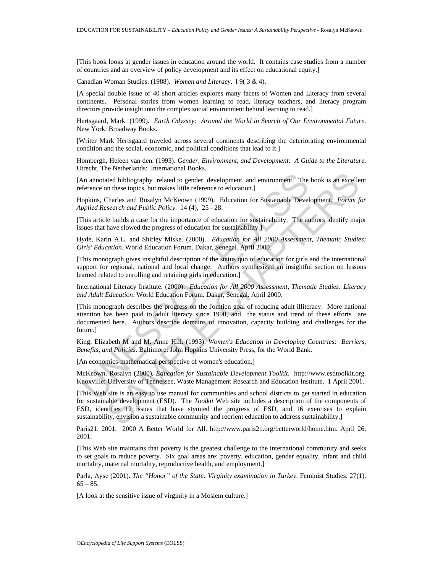[This book looks at gender issues in education around the world. It contains case studies from a number of countries and an overview of policy development and its effect on educational equity.]

Canadian Woman Studies. (1988)*. Women and Literacy*. l 9( 3 & 4).

[A special double issue of 40 short articles explores many facets of Women and Literacy from several continents. Personal stories from women learning to read, literacy teachers, and literacy program directors provide insight into the complex social environment behind learning to read.]

Hertsgaard, Mark (1999). *Earth Odyssey: Around the World in Search of Our Environmental Future*. New York: Broadway Books.

[Writer Mark Hertsgaard traveled across several continents describing the deteriorating environmental condition and the social, economic, and political conditions that lead to it.]

Hombergh, Heleen van den. (1993). *Gender, Environment, and Development: A Guide to the Literature*. Utrecht, The Netherlands: International Books.

[An annotated bibliography related to gender, development, and environment. The book is an excellent reference on these topics, but makes little reference to education.]

Hopkins, Charles and Rosalyn McKeown (1999). Education for Sustainable Development*. Forum for Applied Research and Public Policy*. 14 (4), 25 - 28.

[This article builds a case for the importance of education for sustainability. The authors identify major issues that have slowed the progress of education for sustainability.]

Hyde, Karin A.L. and Shirley Miske. (2000). *Education for All 2000 Assessment, Thematic Studies: Girls' Education*. World Education Forum. Dakar, Senegal. April 2000.

[This monograph gives insightful description of the status quo of education for girls and the international support for regional, national and local change. Authors synthesized an insightful section on lessons learned related to enrolling and retaining girls in education.]

International Literacy Institute. (2000). *Education for All 2000 Assessment, Thematic Studies: Literacy and Adult Education*. World Education Forum. Dakar, Senegal. April 2000.

An annotated bibliography related to gender, development, and environment. The<br>ference on these topics, but makes little reference to education.]<br>opkins, Charles and Rosalyn McKeown (1999). Education for Sustainable Devel ated bibliography related to gender, development, and environment. The book is an excellent<br>chares and Rosalyn McKeown (1999). Education for Sustainable Development. Forum for<br>search and Rosalyn McKeown (1999). Education f [This monograph describes the progress on the Jomtien goal of reducing adult illiteracy. More national attention has been paid to adult literacy since 1990, and the status and trend of these efforts are documented here. Authors describe domains of innovation, capacity building and challenges for the future.]

King, Elizabeth M and M. Anne Hill. (1993). *Women's Education in Developing Countries*: *Barriers, Benefits, and Policies*. Baltimore: John Hopkins University Press, for the World Bank.

[An economics-mathematical perspective of women's education.]

McKeown. Rosalyn (2000)*. Education for Sustainable Development Toolkit*. http://www.esdtoolkit.org. Knoxville: University of Tennessee, Waste Management Research and Education Institute. 1 April 2001.

[This Web site is an easy to use manual for communities and school districts to get started in education for sustainable development (ESD). The *Toolkit* Web site includes a description of the components of ESD, identifies 12 issues that have stymied the progress of ESD, and 16 exercises to explain sustainability, envision a sustainable community and reorient education to address sustainability.]

Paris21. 2001. 2000 A Better World for All. http://www.paris21.org/betterworld/home.htm. April 26, 2001.

[This Web site maintains that poverty is the greatest challenge to the international community and seeks to set goals to reduce poverty. Six goal areas are: poverty, education, gender equality, infant and child mortality, maternal mortality, reproductive health, and employment.]

Parla, Ayse (2001). *The "Honor" of the State: Virginity examination in Turkey*. Feminist Studies. 27(1),  $65 - 85.$ 

[A look at the sensitive issue of virginity in a Moslem culture.]